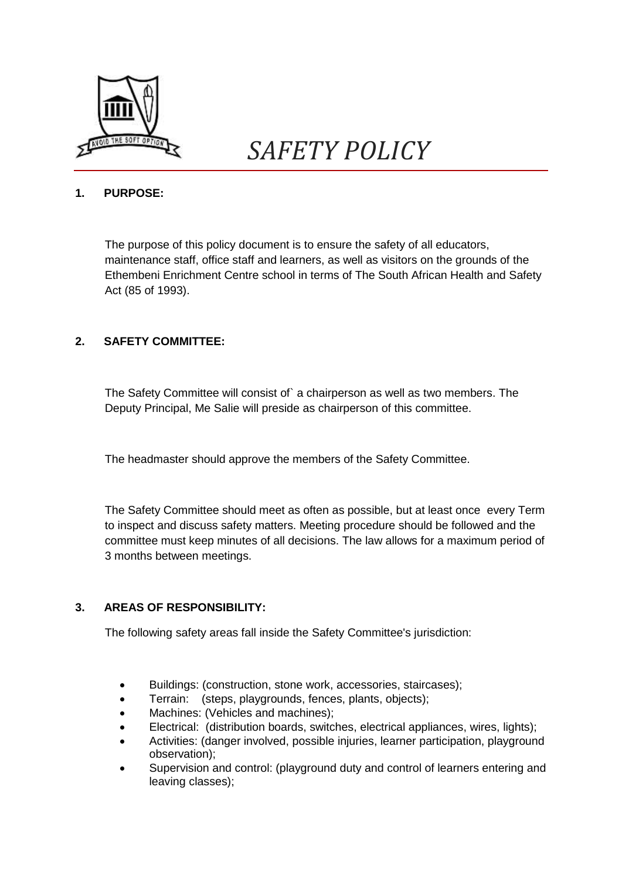

# **1. PURPOSE:**

The purpose of this policy document is to ensure the safety of all educators, maintenance staff, office staff and learners, as well as visitors on the grounds of the Ethembeni Enrichment Centre school in terms of The South African Health and Safety Act (85 of 1993).

# **2. SAFETY COMMITTEE:**

The Safety Committee will consist of` a chairperson as well as two members. The Deputy Principal, Me Salie will preside as chairperson of this committee.

The headmaster should approve the members of the Safety Committee.

The Safety Committee should meet as often as possible, but at least once every Term to inspect and discuss safety matters. Meeting procedure should be followed and the committee must keep minutes of all decisions. The law allows for a maximum period of 3 months between meetings.

# **3. AREAS OF RESPONSIBILITY:**

The following safety areas fall inside the Safety Committee's jurisdiction:

- Buildings: (construction, stone work, accessories, staircases);
- Terrain: (steps, playgrounds, fences, plants, objects);
- Machines: (Vehicles and machines);
- Electrical: (distribution boards, switches, electrical appliances, wires, lights);
- Activities: (danger involved, possible injuries, learner participation, playground observation);
- Supervision and control: (playground duty and control of learners entering and leaving classes);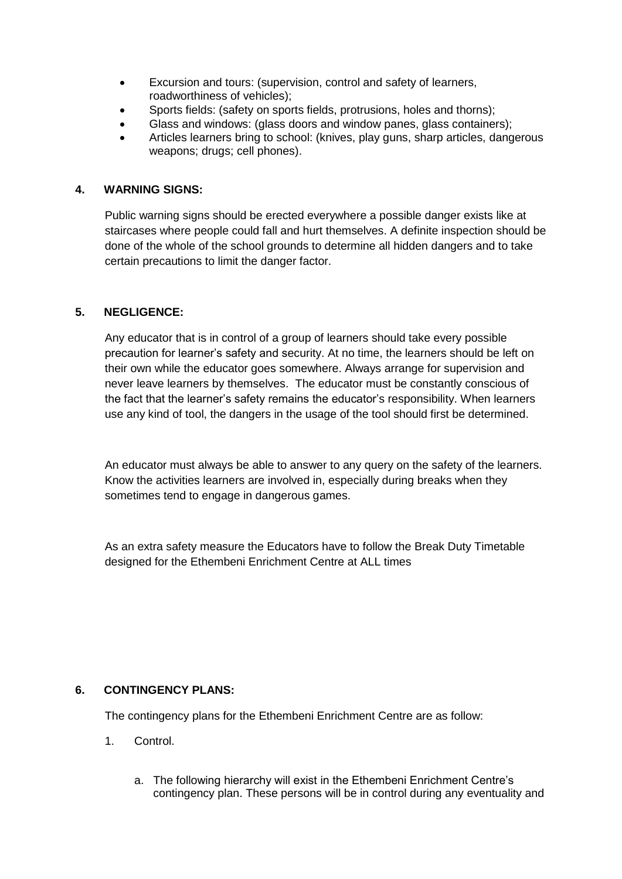- Excursion and tours: (supervision, control and safety of learners, roadworthiness of vehicles);
- Sports fields: (safety on sports fields, protrusions, holes and thorns);
- Glass and windows: (glass doors and window panes, glass containers);
- Articles learners bring to school: (knives, play guns, sharp articles, dangerous weapons; drugs; cell phones).

## **4. WARNING SIGNS:**

Public warning signs should be erected everywhere a possible danger exists like at staircases where people could fall and hurt themselves. A definite inspection should be done of the whole of the school grounds to determine all hidden dangers and to take certain precautions to limit the danger factor.

## **5. NEGLIGENCE:**

Any educator that is in control of a group of learners should take every possible precaution for learner's safety and security. At no time, the learners should be left on their own while the educator goes somewhere. Always arrange for supervision and never leave learners by themselves. The educator must be constantly conscious of the fact that the learner's safety remains the educator's responsibility. When learners use any kind of tool, the dangers in the usage of the tool should first be determined.

An educator must always be able to answer to any query on the safety of the learners. Know the activities learners are involved in, especially during breaks when they sometimes tend to engage in dangerous games.

As an extra safety measure the Educators have to follow the Break Duty Timetable designed for the Ethembeni Enrichment Centre at ALL times

#### **6. CONTINGENCY PLANS:**

The contingency plans for the Ethembeni Enrichment Centre are as follow:

- 1. Control.
	- a. The following hierarchy will exist in the Ethembeni Enrichment Centre's contingency plan. These persons will be in control during any eventuality and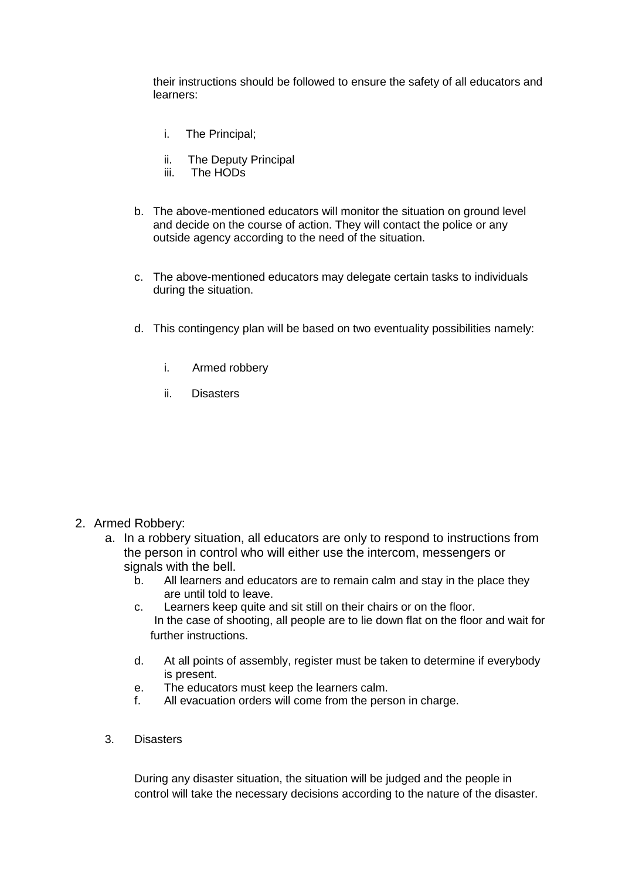their instructions should be followed to ensure the safety of all educators and learners:

- i. The Principal;
- ii. The Deputy Principal
- iii. The HODs
- b. The above-mentioned educators will monitor the situation on ground level and decide on the course of action. They will contact the police or any outside agency according to the need of the situation.
- c. The above-mentioned educators may delegate certain tasks to individuals during the situation.
- d. This contingency plan will be based on two eventuality possibilities namely:
	- i. Armed robbery
	- ii. Disasters

#### 2. Armed Robbery:

- a. In a robbery situation, all educators are only to respond to instructions from the person in control who will either use the intercom, messengers or signals with the bell.
	- b. All learners and educators are to remain calm and stay in the place they are until told to leave.
	- c. Learners keep quite and sit still on their chairs or on the floor. In the case of shooting, all people are to lie down flat on the floor and wait for further instructions.
	- d. At all points of assembly, register must be taken to determine if everybody is present.
	- e. The educators must keep the learners calm.
	- f. All evacuation orders will come from the person in charge.
- 3. Disasters

During any disaster situation, the situation will be judged and the people in control will take the necessary decisions according to the nature of the disaster.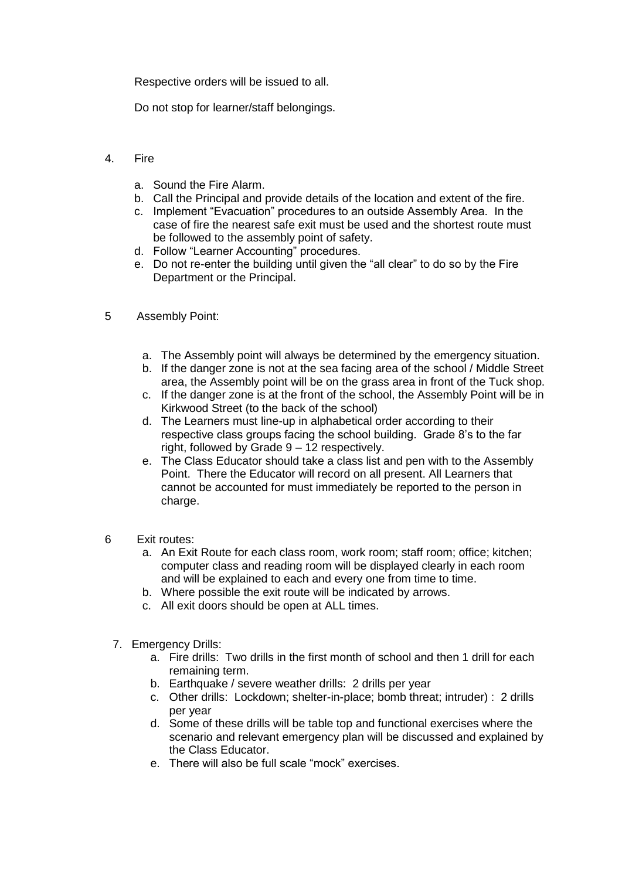Respective orders will be issued to all.

Do not stop for learner/staff belongings.

- 4. Fire
	- a. Sound the Fire Alarm.
	- b. Call the Principal and provide details of the location and extent of the fire.
	- c. Implement "Evacuation" procedures to an outside Assembly Area. In the case of fire the nearest safe exit must be used and the shortest route must be followed to the assembly point of safety.
	- d. Follow "Learner Accounting" procedures.
	- e. Do not re-enter the building until given the "all clear" to do so by the Fire Department or the Principal.
- 5 Assembly Point:
	- a. The Assembly point will always be determined by the emergency situation.
	- b. If the danger zone is not at the sea facing area of the school / Middle Street area, the Assembly point will be on the grass area in front of the Tuck shop.
	- c. If the danger zone is at the front of the school, the Assembly Point will be in Kirkwood Street (to the back of the school)
	- d. The Learners must line-up in alphabetical order according to their respective class groups facing the school building. Grade 8's to the far right, followed by Grade 9 – 12 respectively.
	- e. The Class Educator should take a class list and pen with to the Assembly Point. There the Educator will record on all present. All Learners that cannot be accounted for must immediately be reported to the person in charge.
- 6 Exit routes:
	- a. An Exit Route for each class room, work room; staff room; office; kitchen; computer class and reading room will be displayed clearly in each room and will be explained to each and every one from time to time.
	- b. Where possible the exit route will be indicated by arrows.
	- c. All exit doors should be open at ALL times.
	- 7. Emergency Drills:
		- a. Fire drills: Two drills in the first month of school and then 1 drill for each remaining term.
		- b. Earthquake / severe weather drills: 2 drills per year
		- c. Other drills: Lockdown; shelter-in-place; bomb threat; intruder) : 2 drills per year
		- d. Some of these drills will be table top and functional exercises where the scenario and relevant emergency plan will be discussed and explained by the Class Educator.
		- e. There will also be full scale "mock" exercises.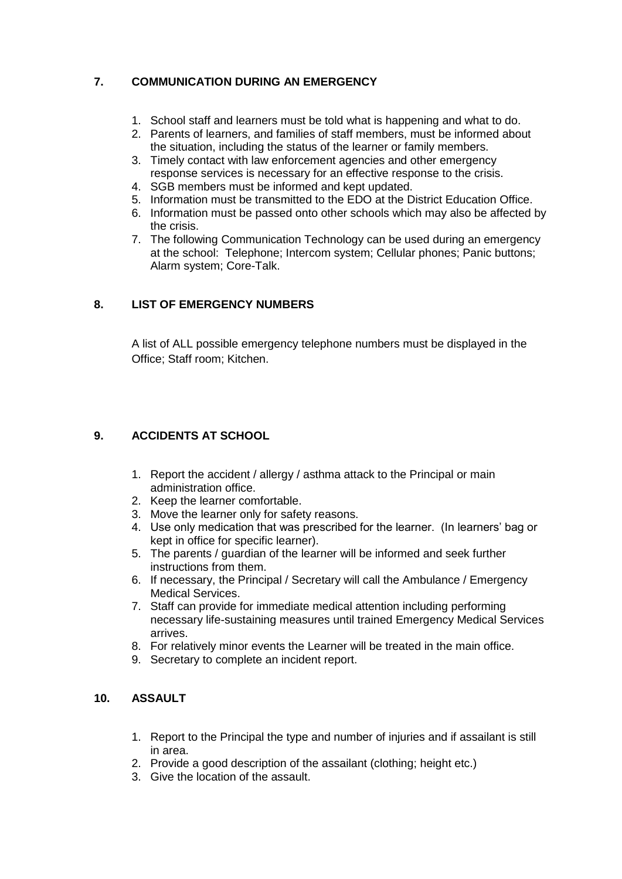# **7. COMMUNICATION DURING AN EMERGENCY**

- 1. School staff and learners must be told what is happening and what to do.
- 2. Parents of learners, and families of staff members, must be informed about the situation, including the status of the learner or family members.
- 3. Timely contact with law enforcement agencies and other emergency response services is necessary for an effective response to the crisis.
- 4. SGB members must be informed and kept updated.
- 5. Information must be transmitted to the EDO at the District Education Office.
- 6. Information must be passed onto other schools which may also be affected by the crisis.
- 7. The following Communication Technology can be used during an emergency at the school: Telephone; Intercom system; Cellular phones; Panic buttons; Alarm system; Core-Talk.

## **8. LIST OF EMERGENCY NUMBERS**

A list of ALL possible emergency telephone numbers must be displayed in the Office; Staff room; Kitchen.

## **9. ACCIDENTS AT SCHOOL**

- 1. Report the accident / allergy / asthma attack to the Principal or main administration office.
- 2. Keep the learner comfortable.
- 3. Move the learner only for safety reasons.
- 4. Use only medication that was prescribed for the learner. (In learners' bag or kept in office for specific learner).
- 5. The parents / guardian of the learner will be informed and seek further instructions from them.
- 6. If necessary, the Principal / Secretary will call the Ambulance / Emergency Medical Services.
- 7. Staff can provide for immediate medical attention including performing necessary life-sustaining measures until trained Emergency Medical Services arrives.
- 8. For relatively minor events the Learner will be treated in the main office.
- 9. Secretary to complete an incident report.

## **10. ASSAULT**

- 1. Report to the Principal the type and number of injuries and if assailant is still in area.
- 2. Provide a good description of the assailant (clothing; height etc.)
- 3. Give the location of the assault.